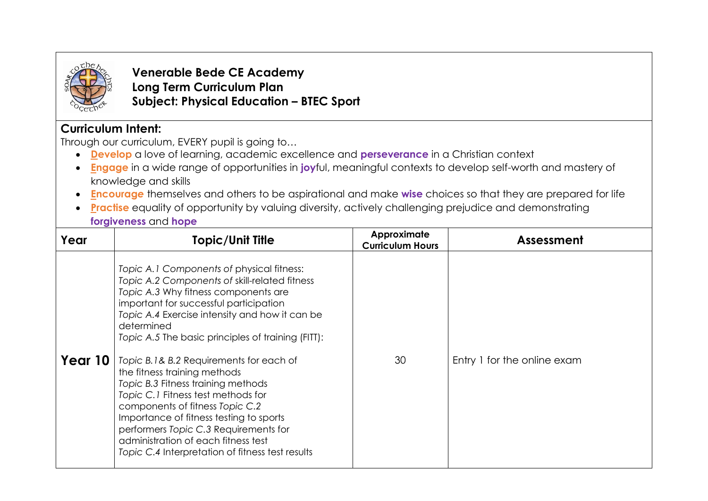

**Venerable Bede CE Academy Long Term Curriculum Plan Subject: Physical Education – BTEC Sport**

## **Curriculum Intent:**

Through our curriculum, EVERY pupil is going to…

- **Develop** a love of learning, academic excellence and **perseverance** in a Christian context
- **Engage** in a wide range of opportunities in **joy**ful, meaningful contexts to develop self-worth and mastery of knowledge and skills
- **Encourag***e* themselves and others to be aspirational and make **wise** choices so that they are prepared for life
- **Practise** equality of opportunity by valuing diversity, actively challenging prejudice and demonstrating **forgiveness** and **hope**

| Year    | <b>Topic/Unit Title</b>                                                                                                                                                                                                                                                                                                                                                                                                                                                                                                                                                                                                                                                     | Approximate<br><b>Curriculum Hours</b> | Assessment                  |
|---------|-----------------------------------------------------------------------------------------------------------------------------------------------------------------------------------------------------------------------------------------------------------------------------------------------------------------------------------------------------------------------------------------------------------------------------------------------------------------------------------------------------------------------------------------------------------------------------------------------------------------------------------------------------------------------------|----------------------------------------|-----------------------------|
| Year 10 | Topic A.1 Components of physical fitness:<br>Topic A.2 Components of skill-related fitness<br>Topic A.3 Why fitness components are<br>important for successful participation<br>Topic A.4 Exercise intensity and how it can be<br>determined<br>Topic A.5 The basic principles of training (FITT):<br>Topic B.1& B.2 Requirements for each of<br>the fitness training methods<br>Topic B.3 Fitness training methods<br>Topic C.1 Fitness test methods for<br>components of fitness Topic C.2<br>Importance of fitness testing to sports<br>performers Topic C.3 Requirements for<br>administration of each fitness test<br>Topic C.4 Interpretation of fitness test results | 30                                     | Entry 1 for the online exam |